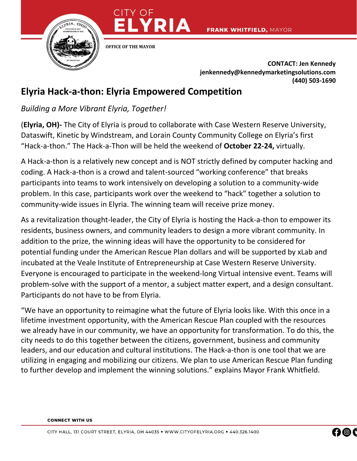

**OFFICE OF THE MAYOR** 

TY OF

**CONTACT: Jen Kennedy jenkennedy@kennedymarketingsolutions.com (440) 503-1690**

## **Elyria Hack-a-thon: Elyria Empowered Competition**

*Building a More Vibrant Elyria, Together!*

(**Elyria, OH)-** The City of Elyria is proud to collaborate with Case Western Reserve University, Dataswift, Kinetic by Windstream, and Lorain County Community College on Elyria's first "Hack-a-thon." The Hack-a-Thon will be held the weekend of **October 22-24,** virtually.

A Hack-a-thon is a relatively new concept and is NOT strictly defined by computer hacking and coding. A Hack-a-thon is a crowd and talent-sourced "working conference" that breaks participants into teams to work intensively on developing a solution to a community-wide problem. In this case, participants work over the weekend to "hack" together a solution to community-wide issues in Elyria. The winning team will receive prize money.

As a revitalization thought-leader, the City of Elyria is hosting the Hack-a-thon to empower its residents, business owners, and community leaders to design a more vibrant community. In addition to the prize, the winning ideas will have the opportunity to be considered for potential funding under the American Rescue Plan dollars and will be supported by xLab and incubated at the Veale Institute of Entrepreneurship at Case Western Reserve University. Everyone is encouraged to participate in the weekend-long Virtual intensive event. Teams will problem-solve with the support of a mentor, a subject matter expert, and a design consultant. Participants do not have to be from Elyria.

"We have an opportunity to reimagine what the future of Elyria looks like. With this once in a lifetime investment opportunity, with the American Rescue Plan coupled with the resources we already have in our community, we have an opportunity for transformation. To do this, the city needs to do this together between the citizens, government, business and community leaders, and our education and cultural institutions. The Hack-a-thon is one tool that we are utilizing in engaging and mobilizing our citizens. We plan to use American Rescue Plan funding to further develop and implement the winning solutions." explains Mayor Frank Whitfield.